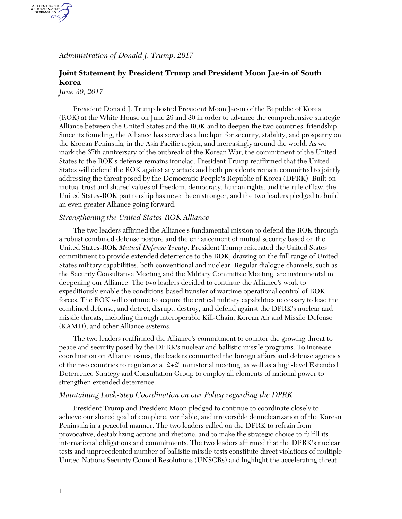*Administration of Donald J. Trump, 2017*

# **Joint Statement by President Trump and President Moon Jae-in of South Korea**

*June 30, 2017*

AUTHENTICATED<br>U.S. GOVERNMENT<br>INFORMATION GPO.

> President Donald J. Trump hosted President Moon Jae-in of the Republic of Korea (ROK) at the White House on June 29 and 30 in order to advance the comprehensive strategic Alliance between the United States and the ROK and to deepen the two countries' friendship. Since its founding, the Alliance has served as a linchpin for security, stability, and prosperity on the Korean Peninsula, in the Asia Pacific region, and increasingly around the world. As we mark the 67th anniversary of the outbreak of the Korean War, the commitment of the United States to the ROK's defense remains ironclad. President Trump reaffirmed that the United States will defend the ROK against any attack and both presidents remain committed to jointly addressing the threat posed by the Democratic People's Republic of Korea (DPRK). Built on mutual trust and shared values of freedom, democracy, human rights, and the rule of law, the United States-ROK partnership has never been stronger, and the two leaders pledged to build an even greater Alliance going forward.

#### *Strengthening the United States-ROK Alliance*

The two leaders affirmed the Alliance's fundamental mission to defend the ROK through a robust combined defense posture and the enhancement of mutual security based on the United States-ROK *Mutual Defense Treaty*. President Trump reiterated the United States commitment to provide extended deterrence to the ROK, drawing on the full range of United States military capabilities, both conventional and nuclear. Regular dialogue channels, such as the Security Consultative Meeting and the Military Committee Meeting, are instrumental in deepening our Alliance. The two leaders decided to continue the Alliance's work to expeditiously enable the conditions-based transfer of wartime operational control of ROK forces. The ROK will continue to acquire the critical military capabilities necessary to lead the combined defense, and detect, disrupt, destroy, and defend against the DPRK's nuclear and missile threats, including through interoperable Kill-Chain, Korean Air and Missile Defense (KAMD), and other Alliance systems.

The two leaders reaffirmed the Alliance's commitment to counter the growing threat to peace and security posed by the DPRK's nuclear and ballistic missile programs. To increase coordination on Alliance issues, the leaders committed the foreign affairs and defense agencies of the two countries to regularize a "2+2" ministerial meeting, as well as a high-level Extended Deterrence Strategy and Consultation Group to employ all elements of national power to strengthen extended deterrence.

#### *Maintaining Lock-Step Coordination on our Policy regarding the DPRK*

President Trump and President Moon pledged to continue to coordinate closely to achieve our shared goal of complete, verifiable, and irreversible denuclearization of the Korean Peninsula in a peaceful manner. The two leaders called on the DPRK to refrain from provocative, destabilizing actions and rhetoric, and to make the strategic choice to fulfill its international obligations and commitments. The two leaders affirmed that the DPRK's nuclear tests and unprecedented number of ballistic missile tests constitute direct violations of multiple United Nations Security Council Resolutions (UNSCRs) and highlight the accelerating threat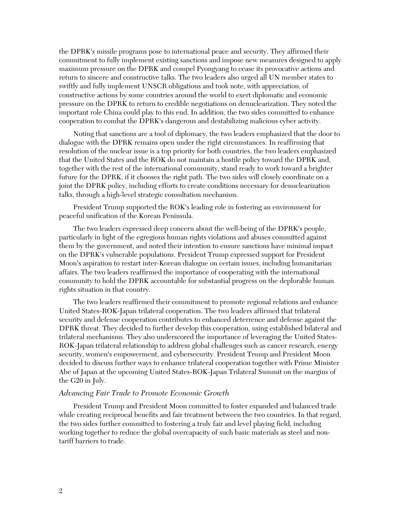the DPRK's missile programs pose to international peace and security. They affirmed their commitment to fully implement existing sanctions and impose new measures designed to apply maximum pressure on the DPRK and compel Pyongyang to cease its provocative actions and return to sincere and constructive talks. The two leaders also urged all UN member states to swiftly and fully implement UNSCR obligations and took note, with appreciation, of constructive actions by some countries around the world to exert diplomatic and economic pressure on the DPRK to return to credible negotiations on denuclearization. They noted the important role China could play to this end. In addition, the two sides committed to enhance cooperation to combat the DPRK's dangerous and destabilizing malicious cyber activity.

Noting that sanctions are a tool of diplomacy, the two leaders emphasized that the door to dialogue with the DPRK remains open under the right circumstances. In reaffirming that resolution of the nuclear issue is a top priority for both countries, the two leaders emphasized that the United States and the ROK do not maintain a hostile policy toward the DPRK and, together with the rest of the international community, stand ready to work toward a brighter future for the DPRK, if it chooses the right path. The two sides will closely coordinate on a joint the DPRK policy, including efforts to create conditions necessary for denuclearization talks, through a high-level strategic consultation mechanism.

President Trump supported the ROK's leading role in fostering an environment for peaceful unification of the Korean Peninsula.

The two leaders expressed deep concern about the well-being of the DPRK's people, particularly in light of the egregious human rights violations and abuses committed against them by the government, and noted their intention to ensure sanctions have minimal impact on the DPRK's vulnerable populations. President Trump expressed support for President Moon's aspiration to restart inter-Korean dialogue on certain issues, including humanitarian affairs. The two leaders reaffirmed the importance of cooperating with the international community to hold the DPRK accountable for substantial progress on the deplorable human rights situation in that country.

The two leaders reaffirmed their commitment to promote regional relations and enhance United States-ROK-Japan trilateral cooperation. The two leaders affirmed that trilateral security and defense cooperation contributes to enhanced deterrence and defense against the DPRK threat. They decided to further develop this cooperation, using established bilateral and trilateral mechanisms. They also underscored the importance of leveraging the United States-ROK-Japan trilateral relationship to address global challenges such as cancer research, energy security, women's empowerment, and cybersecurity. President Trump and President Moon decided to discuss further ways to enhance trilateral cooperation together with Prime Minister Abe of Japan at the upcoming United States-ROK-Japan Trilateral Summit on the margins of the G20 in July.

## *Advancing Fair Trade to Promote Economic Growth*

President Trump and President Moon committed to foster expanded and balanced trade while creating reciprocal benefits and fair treatment between the two countries. In that regard, the two sides further committed to fostering a truly fair and level playing field, including working together to reduce the global overcapacity of such basic materials as steel and nontariff barriers to trade.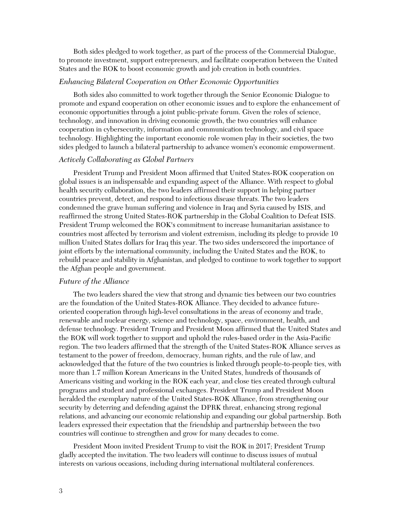Both sides pledged to work together, as part of the process of the Commercial Dialogue, to promote investment, support entrepreneurs, and facilitate cooperation between the United States and the ROK to boost economic growth and job creation in both countries.

## *Enhancing Bilateral Cooperation on Other Economic Opportunities*

Both sides also committed to work together through the Senior Economic Dialogue to promote and expand cooperation on other economic issues and to explore the enhancement of economic opportunities through a joint public-private forum. Given the roles of science, technology, and innovation in driving economic growth, the two countries will enhance cooperation in cybersecurity, information and communication technology, and civil space technology. Highlighting the important economic role women play in their societies, the two sides pledged to launch a bilateral partnership to advance women's economic empowerment.

# *Actively Collaborating as Global Partners*

President Trump and President Moon affirmed that United States-ROK cooperation on global issues is an indispensable and expanding aspect of the Alliance. With respect to global health security collaboration, the two leaders affirmed their support in helping partner countries prevent, detect, and respond to infectious disease threats. The two leaders condemned the grave human suffering and violence in Iraq and Syria caused by ISIS, and reaffirmed the strong United States-ROK partnership in the Global Coalition to Defeat ISIS. President Trump welcomed the ROK's commitment to increase humanitarian assistance to countries most affected by terrorism and violent extremism, including its pledge to provide 10 million United States dollars for Iraq this year. The two sides underscored the importance of joint efforts by the international community, including the United States and the ROK, to rebuild peace and stability in Afghanistan, and pledged to continue to work together to support the Afghan people and government.

# *Future of the Alliance*

The two leaders shared the view that strong and dynamic ties between our two countries are the foundation of the United States-ROK Alliance. They decided to advance futureoriented cooperation through high-level consultations in the areas of economy and trade, renewable and nuclear energy, science and technology, space, environment, health, and defense technology. President Trump and President Moon affirmed that the United States and the ROK will work together to support and uphold the rules-based order in the Asia-Pacific region. The two leaders affirmed that the strength of the United States-ROK Alliance serves as testament to the power of freedom, democracy, human rights, and the rule of law, and acknowledged that the future of the two countries is linked through people-to-people ties, with more than 1.7 million Korean Americans in the United States, hundreds of thousands of Americans visiting and working in the ROK each year, and close ties created through cultural programs and student and professional exchanges. President Trump and President Moon heralded the exemplary nature of the United States-ROK Alliance, from strengthening our security by deterring and defending against the DPRK threat, enhancing strong regional relations, and advancing our economic relationship and expanding our global partnership. Both leaders expressed their expectation that the friendship and partnership between the two countries will continue to strengthen and grow for many decades to come.

President Moon invited President Trump to visit the ROK in 2017; President Trump gladly accepted the invitation. The two leaders will continue to discuss issues of mutual interests on various occasions, including during international multilateral conferences.